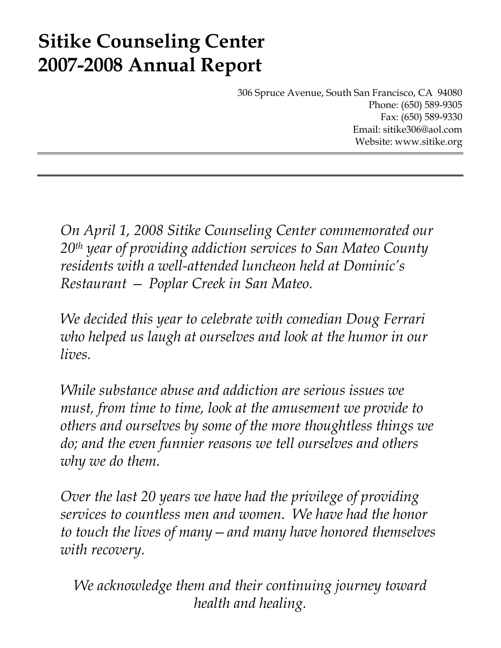# **Sitike Counseling Center 2007-2008 Annual Report**

306 Spruce Avenue, South San Francisco, CA 94080 Phone: (650) 589-9305 Fax: (650) 589-9330 Email: sitike306@aol.com Website: www.sitike.org

*On April 1, 2008 Sitike Counseling Center commemorated our 20th year of providing addiction services to San Mateo County residents with a well-attended luncheon held at Dominic's Restaurant — Poplar Creek in San Mateo.* 

*We decided this year to celebrate with comedian Doug Ferrari who helped us laugh at ourselves and look at the humor in our lives.* 

*While substance abuse and addiction are serious issues we must, from time to time, look at the amusement we provide to others and ourselves by some of the more thoughtless things we do; and the even funnier reasons we tell ourselves and others why we do them.* 

*Over the last 20 years we have had the privilege of providing services to countless men and women. We have had the honor to touch the lives of many—and many have honored themselves with recovery.* 

*We acknowledge them and their continuing journey toward health and healing.*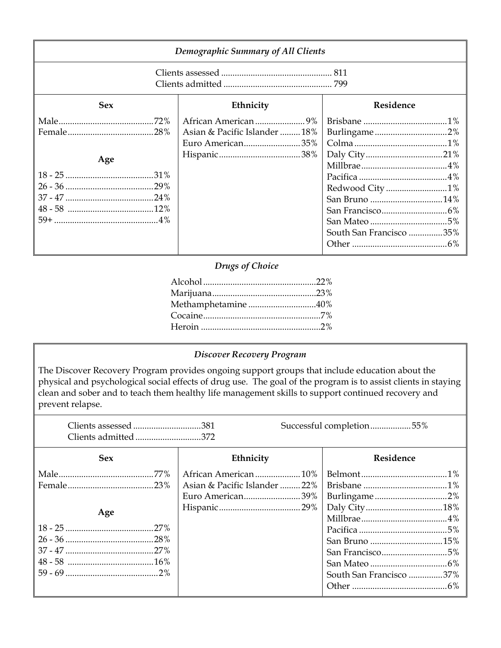| <b>Demographic Summary of All Clients</b> |                                                   |                                                            |  |
|-------------------------------------------|---------------------------------------------------|------------------------------------------------------------|--|
|                                           |                                                   |                                                            |  |
| <b>Sex</b>                                | Ethnicity                                         | Residence                                                  |  |
| Age                                       | Asian & Pacific Islander  18%<br>Euro American35% | Burlingame2%<br>Redwood City 1%<br>South San Francisco 35% |  |

## *Drugs of Choice*

| Methamphetamine40% |
|--------------------|
|                    |
|                    |

## *Discover Recovery Program*

The Discover Recovery Program provides ongoing support groups that include education about the physical and psychological social effects of drug use. The goal of the program is to assist clients in staying clean and sober and to teach them healthy life management skills to support continued recovery and prevent relapse.

| Clients admitted372 |                                                   | Successful completion55%                   |
|---------------------|---------------------------------------------------|--------------------------------------------|
| <b>Sex</b>          | Ethnicity                                         | Residence                                  |
| Age                 | Asian & Pacific Islander  22%<br>Euro American39% | San Francisco5%<br>South San Francisco 37% |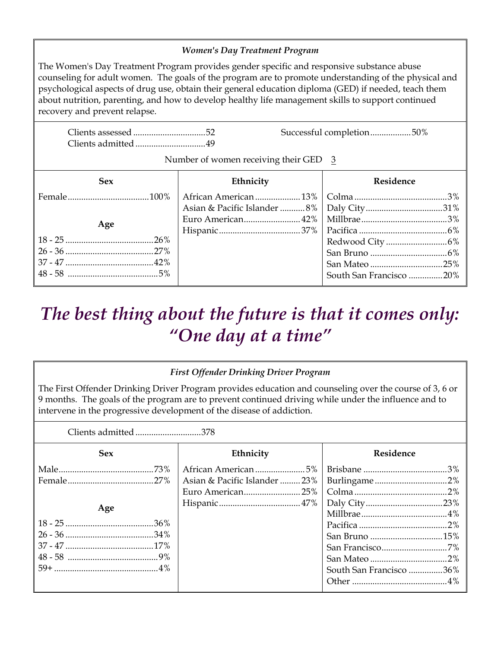### *Women's Day Treatment Program*

The Women's Day Treatment Program provides gender specific and responsive substance abuse counseling for adult women. The goals of the program are to promote understanding of the physical and psychological aspects of drug use, obtain their general education diploma (GED) if needed, teach them about nutrition, parenting, and how to develop healthy life management skills to support continued recovery and prevent relapse.

| Clients admitted49 |                                         | Successful completion50% |
|--------------------|-----------------------------------------|--------------------------|
|                    | Number of women receiving their GED $3$ |                          |
| <b>Sex</b>         | Ethnicity                               | Residence                |
|                    | African American 13%                    |                          |
|                    |                                         |                          |
| Age                | Euro American42%                        |                          |
|                    |                                         |                          |
|                    |                                         |                          |
|                    |                                         |                          |
|                    |                                         |                          |
|                    |                                         | South San Francisco 20%  |

## *The best thing about the future is that it comes only: "One day at a time"*

### *First Offender Drinking Driver Program*

The First Offender Drinking Driver Program provides education and counseling over the course of 3, 6 or 9 months. The goals of the program are to prevent continued driving while under the influence and to intervene in the progressive development of the disease of addiction.

Clients admitted .............................378

| <b>Sex</b> | Ethnicity                     | Residence               |
|------------|-------------------------------|-------------------------|
|            |                               |                         |
|            | Asian & Pacific Islander  23% |                         |
|            | Euro American25%              |                         |
|            |                               |                         |
| Age        |                               |                         |
|            |                               |                         |
|            |                               |                         |
|            |                               |                         |
|            |                               |                         |
|            |                               | South San Francisco 36% |
|            |                               |                         |